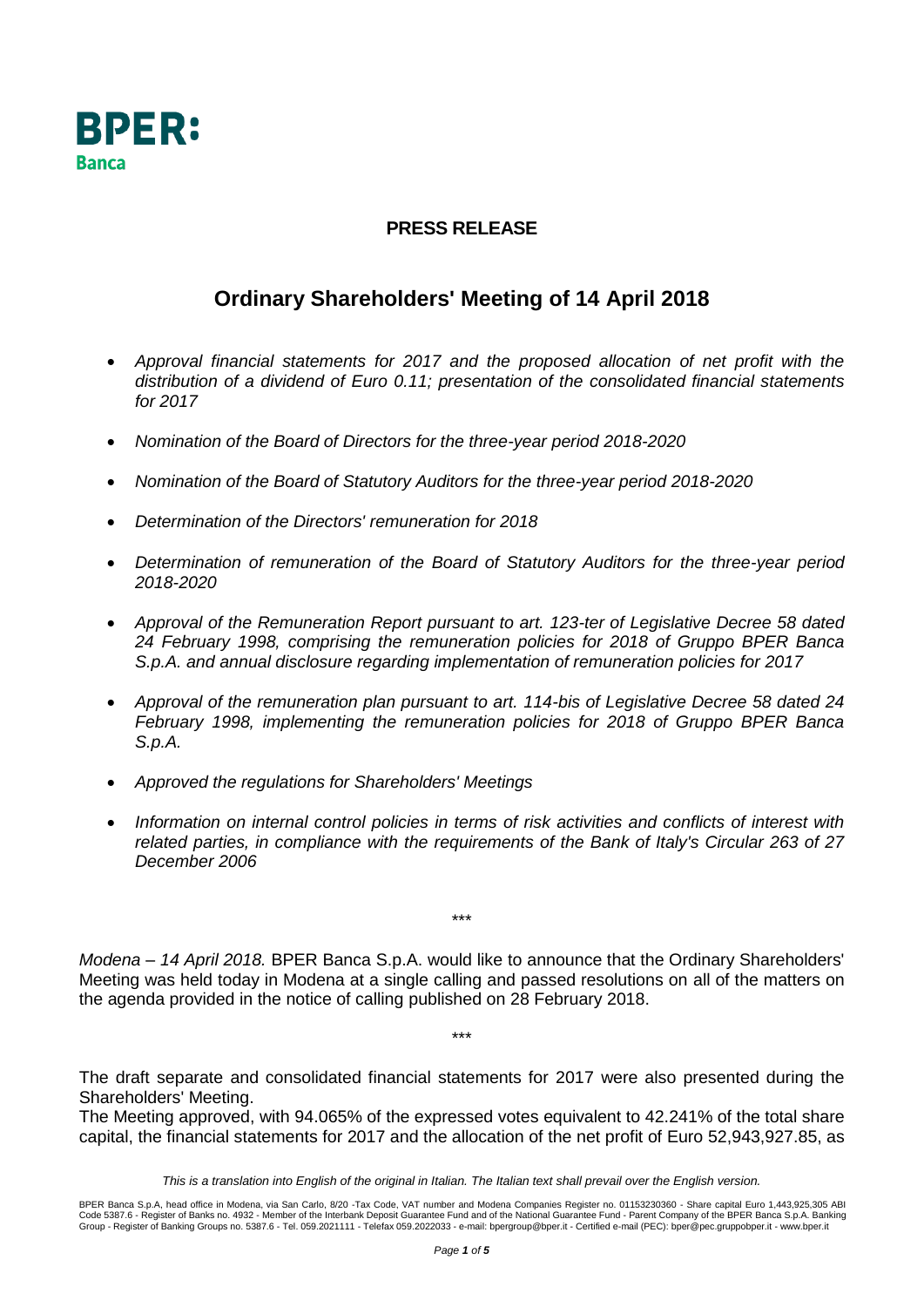

## **PRESS RELEASE**

## **Ordinary Shareholders' Meeting of 14 April 2018**

- *Approval financial statements for 2017 and the proposed allocation of net profit with the distribution of a dividend of Euro 0.11; presentation of the consolidated financial statements for 2017*
- *Nomination of the Board of Directors for the three-year period 2018-2020*
- *Nomination of the Board of Statutory Auditors for the three-year period 2018-2020*
- *Determination of the Directors' remuneration for 2018*
- *Determination of remuneration of the Board of Statutory Auditors for the three-year period 2018-2020*
- *Approval of the Remuneration Report pursuant to art. 123-ter of Legislative Decree 58 dated 24 February 1998, comprising the remuneration policies for 2018 of Gruppo BPER Banca S.p.A. and annual disclosure regarding implementation of remuneration policies for 2017*
- *Approval of the remuneration plan pursuant to art. 114-bis of Legislative Decree 58 dated 24 February 1998, implementing the remuneration policies for 2018 of Gruppo BPER Banca S.p.A.*
- *Approved the regulations for Shareholders' Meetings*
- *Information on internal control policies in terms of risk activities and conflicts of interest with related parties, in compliance with the requirements of the Bank of Italy's Circular 263 of 27 December 2006*

*Modena – 14 April 2018.* BPER Banca S.p.A. would like to announce that the Ordinary Shareholders' Meeting was held today in Modena at a single calling and passed resolutions on all of the matters on the agenda provided in the notice of calling published on 28 February 2018.

\*\*\*

\*\*\*

The draft separate and consolidated financial statements for 2017 were also presented during the Shareholders' Meeting.

The Meeting approved, with 94.065% of the expressed votes equivalent to 42.241% of the total share capital, the financial statements for 2017 and the allocation of the net profit of Euro 52,943,927.85, as

*This is a translation into English of the original in Italian. The Italian text shall prevail over the English version.*

BPER Banca S.p.A, head office in Modena, via San Carlo, 8/20 -Tax Code, VAT number and Modena Companies Register no. 01153230360 - Share capital Euro 1,443,925,305 ABI<br>Code 5387.6 - Register of Banks no. 4932 - Member of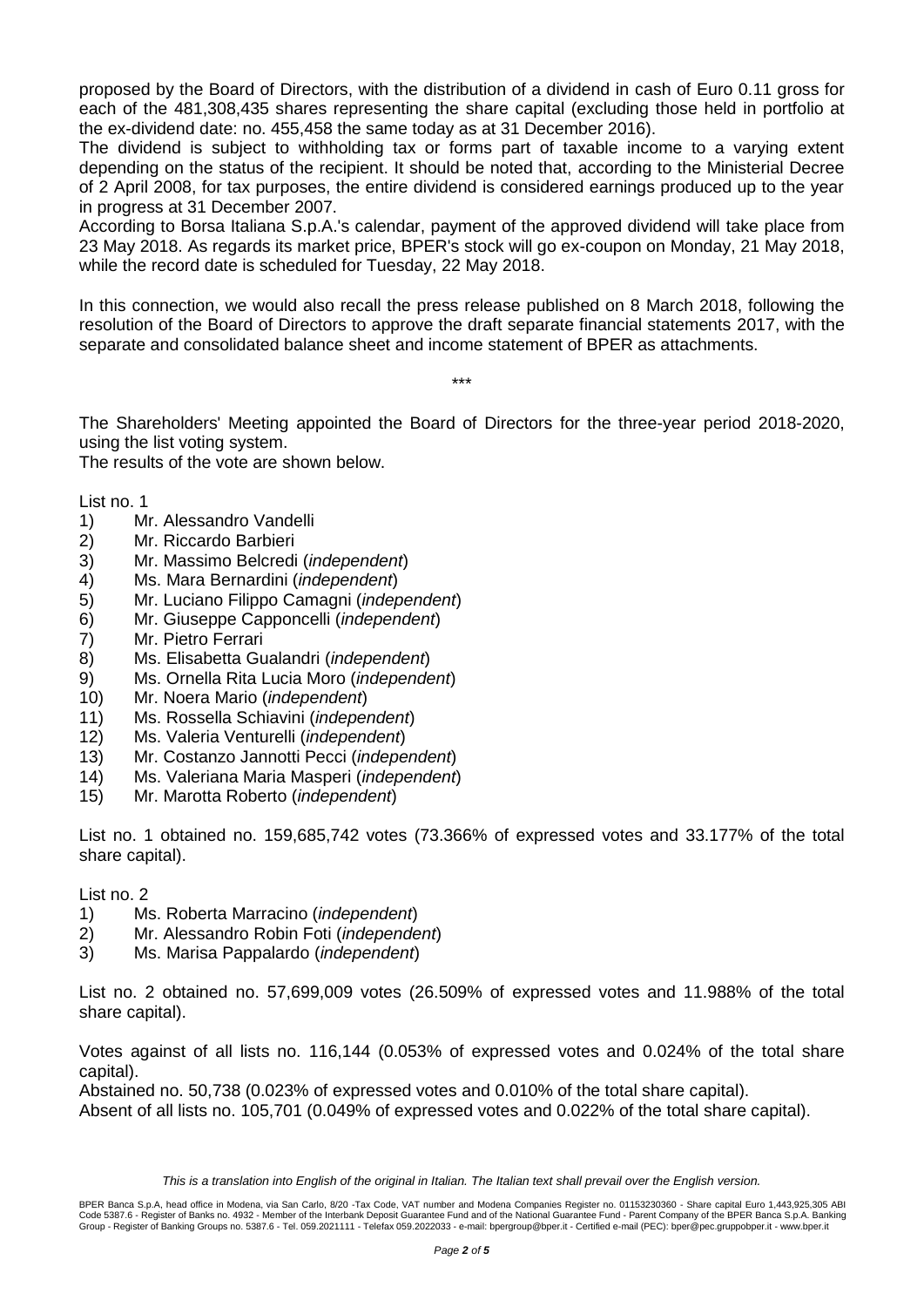proposed by the Board of Directors, with the distribution of a dividend in cash of Euro 0.11 gross for each of the 481,308,435 shares representing the share capital (excluding those held in portfolio at the ex-dividend date: no. 455,458 the same today as at 31 December 2016).

The dividend is subject to withholding tax or forms part of taxable income to a varying extent depending on the status of the recipient. It should be noted that, according to the Ministerial Decree of 2 April 2008, for tax purposes, the entire dividend is considered earnings produced up to the year in progress at 31 December 2007.

According to Borsa Italiana S.p.A.'s calendar, payment of the approved dividend will take place from 23 May 2018. As regards its market price, BPER's stock will go ex-coupon on Monday, 21 May 2018, while the record date is scheduled for Tuesday, 22 May 2018.

In this connection, we would also recall the press release published on 8 March 2018, following the resolution of the Board of Directors to approve the draft separate financial statements 2017, with the separate and consolidated balance sheet and income statement of BPER as attachments.

\*\*\*

The Shareholders' Meeting appointed the Board of Directors for the three-year period 2018-2020, using the list voting system.

The results of the vote are shown below.

List no. 1

- 1) Mr. Alessandro Vandelli
- 2) Mr. Riccardo Barbieri
- 3) Mr. Massimo Belcredi (*independent*)
- 4) Ms. Mara Bernardini (*independent*)
- 5) Mr. Luciano Filippo Camagni (*independent*)
- 6) Mr. Giuseppe Capponcelli (*independent*)
- 7) Mr. Pietro Ferrari
- 8) Ms. Elisabetta Gualandri (*independent*)
- 9) Ms. Ornella Rita Lucia Moro (*independent*)
- 10) Mr. Noera Mario (*independent*)
- 11) Ms. Rossella Schiavini (*independent*)
- 12) Ms. Valeria Venturelli (*independent*)
- 13) Mr. Costanzo Jannotti Pecci (*independent*)
- 14) Ms. Valeriana Maria Masperi (*independent*)
- 15) Mr. Marotta Roberto (*independent*)

List no. 1 obtained no. 159,685,742 votes (73.366% of expressed votes and 33.177% of the total share capital).

List no. 2

- 1) Ms. Roberta Marracino (*independent*)
- 2) Mr. Alessandro Robin Foti (*independent*)
- 3) Ms. Marisa Pappalardo (*independent*)

List no. 2 obtained no. 57,699,009 votes (26.509% of expressed votes and 11.988% of the total share capital).

Votes against of all lists no. 116,144 (0.053% of expressed votes and 0.024% of the total share capital).

Abstained no. 50,738 (0.023% of expressed votes and 0.010% of the total share capital). Absent of all lists no. 105,701 (0.049% of expressed votes and 0.022% of the total share capital).

*This is a translation into English of the original in Italian. The Italian text shall prevail over the English version.*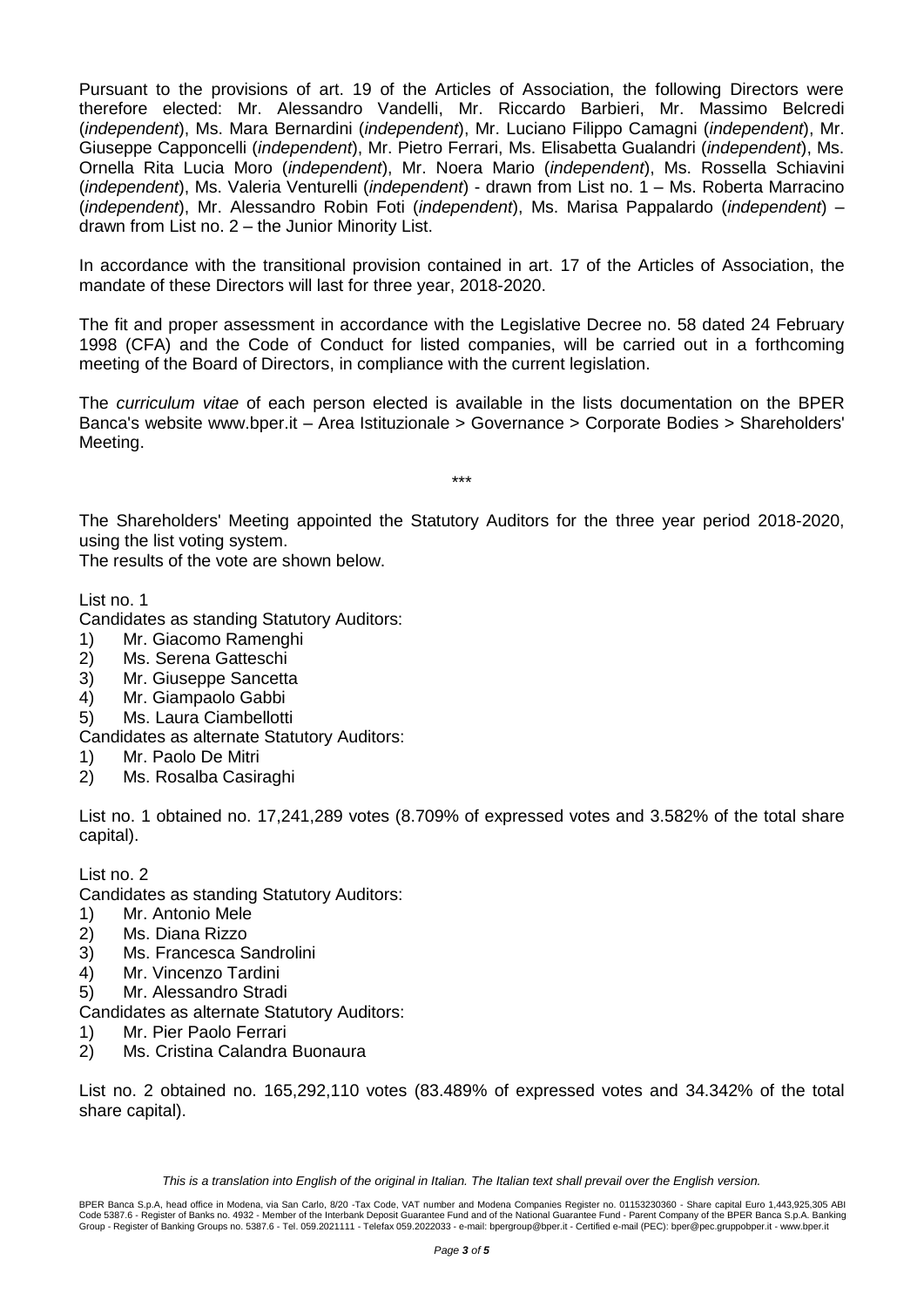Pursuant to the provisions of art. 19 of the Articles of Association, the following Directors were therefore elected: Mr. Alessandro Vandelli, Mr. Riccardo Barbieri, Mr. Massimo Belcredi (*independent*), Ms. Mara Bernardini (*independent*), Mr. Luciano Filippo Camagni (*independent*), Mr. Giuseppe Capponcelli (*independent*), Mr. Pietro Ferrari, Ms. Elisabetta Gualandri (*independent*), Ms. Ornella Rita Lucia Moro (*independent*), Mr. Noera Mario (*independent*), Ms. Rossella Schiavini (*independent*), Ms. Valeria Venturelli (*independent*) - drawn from List no. 1 – Ms. Roberta Marracino (*independent*), Mr. Alessandro Robin Foti (*independent*), Ms. Marisa Pappalardo (*independent*) – drawn from List no. 2 – the Junior Minority List.

In accordance with the transitional provision contained in art. 17 of the Articles of Association, the mandate of these Directors will last for three year, 2018-2020.

The fit and proper assessment in accordance with the Legislative Decree no. 58 dated 24 February 1998 (CFA) and the Code of Conduct for listed companies, will be carried out in a forthcoming meeting of the Board of Directors, in compliance with the current legislation.

The *curriculum vitae* of each person elected is available in the lists documentation on the BPER Banca's website www.bper.it – Area Istituzionale > Governance > Corporate Bodies > Shareholders' Meeting.

\*\*\*

The Shareholders' Meeting appointed the Statutory Auditors for the three year period 2018-2020, using the list voting system.

The results of the vote are shown below.

List no. 1

Candidates as standing Statutory Auditors:

- 1) Mr. Giacomo Ramenghi
- 2) Ms. Serena Gatteschi
- 3) Mr. Giuseppe Sancetta
- 4) Mr. Giampaolo Gabbi
- 5) Ms. Laura Ciambellotti

Candidates as alternate Statutory Auditors:

- 1) Mr. Paolo De Mitri
- 2) Ms. Rosalba Casiraghi

List no. 1 obtained no. 17,241,289 votes (8.709% of expressed votes and 3.582% of the total share capital).

## List no. 2

Candidates as standing Statutory Auditors:

- 1) Mr. Antonio Mele
- 2) Ms. Diana Rizzo
- 3) Ms. Francesca Sandrolini
- 4) Mr. Vincenzo Tardini
- 5) Mr. Alessandro Stradi

Candidates as alternate Statutory Auditors:

- 1) Mr. Pier Paolo Ferrari
- 2) Ms. Cristina Calandra Buonaura

List no. 2 obtained no. 165,292,110 votes (83.489% of expressed votes and 34.342% of the total share capital).

*This is a translation into English of the original in Italian. The Italian text shall prevail over the English version.*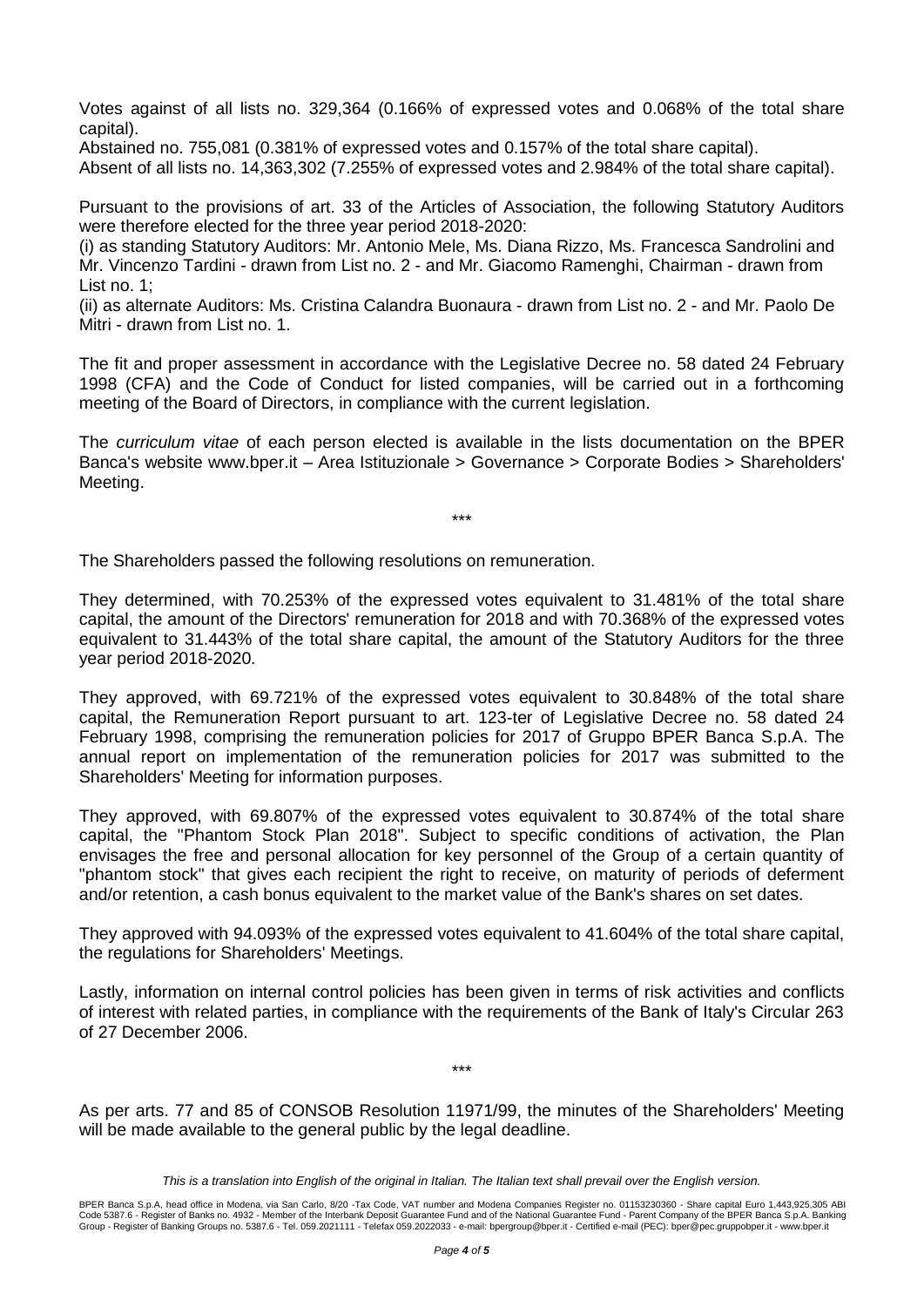Votes against of all lists no. 329,364 (0.166% of expressed votes and 0.068% of the total share capital).

Abstained no. 755,081 (0.381% of expressed votes and 0.157% of the total share capital). Absent of all lists no. 14,363,302 (7.255% of expressed votes and 2.984% of the total share capital).

Pursuant to the provisions of art. 33 of the Articles of Association, the following Statutory Auditors were therefore elected for the three year period 2018-2020:

(i) as standing Statutory Auditors: Mr. Antonio Mele, Ms. Diana Rizzo, Ms. Francesca Sandrolini and Mr. Vincenzo Tardini - drawn from List no. 2 - and Mr. Giacomo Ramenghi, Chairman - drawn from List no. 1;

(ii) as alternate Auditors: Ms. Cristina Calandra Buonaura - drawn from List no. 2 - and Mr. Paolo De Mitri - drawn from List no. 1.

The fit and proper assessment in accordance with the Legislative Decree no. 58 dated 24 February 1998 (CFA) and the Code of Conduct for listed companies, will be carried out in a forthcoming meeting of the Board of Directors, in compliance with the current legislation.

The *curriculum vitae* of each person elected is available in the lists documentation on the BPER Banca's website www.bper.it – Area Istituzionale > Governance > Corporate Bodies > Shareholders' Meeting.

\*\*\*

The Shareholders passed the following resolutions on remuneration.

They determined, with 70.253% of the expressed votes equivalent to 31.481% of the total share capital, the amount of the Directors' remuneration for 2018 and with 70.368% of the expressed votes equivalent to 31.443% of the total share capital, the amount of the Statutory Auditors for the three year period 2018-2020.

They approved, with 69.721% of the expressed votes equivalent to 30.848% of the total share capital, the Remuneration Report pursuant to art. 123-ter of Legislative Decree no. 58 dated 24 February 1998, comprising the remuneration policies for 2017 of Gruppo BPER Banca S.p.A. The annual report on implementation of the remuneration policies for 2017 was submitted to the Shareholders' Meeting for information purposes.

They approved, with 69.807% of the expressed votes equivalent to 30.874% of the total share capital, the "Phantom Stock Plan 2018". Subject to specific conditions of activation, the Plan envisages the free and personal allocation for key personnel of the Group of a certain quantity of "phantom stock" that gives each recipient the right to receive, on maturity of periods of deferment and/or retention, a cash bonus equivalent to the market value of the Bank's shares on set dates.

They approved with 94.093% of the expressed votes equivalent to 41.604% of the total share capital, the regulations for Shareholders' Meetings.

Lastly, information on internal control policies has been given in terms of risk activities and conflicts of interest with related parties, in compliance with the requirements of the Bank of Italy's Circular 263 of 27 December 2006.

As per arts. 77 and 85 of CONSOB Resolution 11971/99, the minutes of the Shareholders' Meeting will be made available to the general public by the legal deadline.

\*\*\*

*This is a translation into English of the original in Italian. The Italian text shall prevail over the English version.*

BPER Banca S.p.A, head office in Modena, via San Carlo, 8/20 -Tax Code, VAT number and Modena Companies Register no. 01153230360 - Share capital Euro 1,443,925,305 ABI<br>Code 5387.6 - Register of Banks no. 4932 - Member of